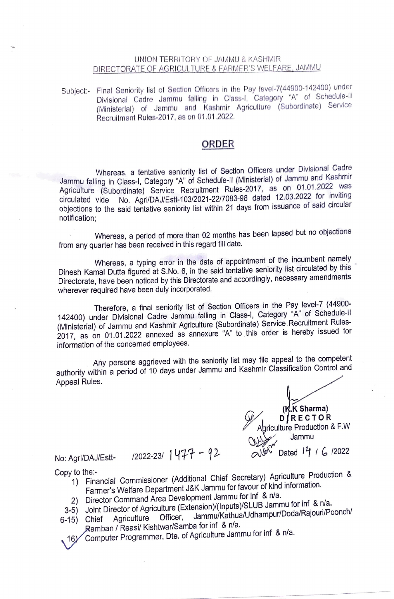## UNION TERRITORY OF JAMMU & KASHMIR DIRECTORATE OF AGRICULTURE & FARMER'S WELFARE, JAMMU

Subject:- Final Seniority list of Section Officers in the Pay level-7(44900-142400) under Divisional Cadre Jammu falling in Class-I, Category "A" of Schedule-II (Ministerial) of Jammu and Kashmir Agriculture (Subordinate) Service Recruitment Rules-2017, as on 01.01.2022.

## **ORDER**

Whereas, a tentative seniority list of Section Officers under Divisional Cadre Jammu falling in Class-I, Category "A" of Schedule-II (Ministerial) of Jammu and Kashmir Agriculture (Subordinate) Service Recruitment Rules-2017, as on 01.01.2022 was circulated vide No. Agri/DAJ/Estt-103/2021-22/7083-98 dated 12.03.2022 for inviting objections to the said tentative seniority list within 21 days from issuance of said circular notification;

Whereas, a period of more than 02 months has been lapsed but no objections from any quarter has been received in this regard till date.

Whereas, a typing error in the date of appointment of the incumbent namely Dinesh Kamal Dutta figured at S.No. 6, in the said tentative seniority list circulated by this Directorate, have been noticed by this Directorate and accordingly, necessary amendments wherever required have been duly incorporated.

Therefore, a final seniority list of Section Officers in the Pay level-7 (44900- 142400) under Divisional Cadre Jammu falling in Class-I, Category "A" of Schedule-II (Ministerial) of Jammu and Kashmir Agriculture (Subordinate) Service . Recruitment Rules-2017, as on 01.01.2022 annexed as annexure "A" to this order is hereby issued for information of the concerned employees.

Any persons aggrieved with the seniority list may file appeal to the competent authority within a period of 10 days under Jammu and Kashmir Classification Control and Appeal Rules.

( **~Sharma)**  *Q/* **D1:ECTOR**  riculture Production & F.W Jammu No: Agri/DAJ/Estt- /2022-23/ 1477 - 92 2022<br>
ONE Dated 14 / 6 /2022

- Copy to the:- 1) Financial Commissioner (Additional Chief Secretary) Agriculture Production & Farmer's Welfare Department J&K Jammu for favour of kind information.
	- 2) Director Command Area Development Jammu for inf & n/a.
	- 3-5) Joint Director of Agriculture (Extension)/(Inputs)/SLUB Jammu for inf & n/a. 6-15) Chief Agriculture Officer, Jammu/Kathua/Udhampur/Doda/RaJoun/Poonch/
		- ..... , A amban *I* Reasi/ Kishtwar/Samba for inf & n/a. Computer Programmer, Dte. of Agriculture Jammu for inf  $8$  n/a.